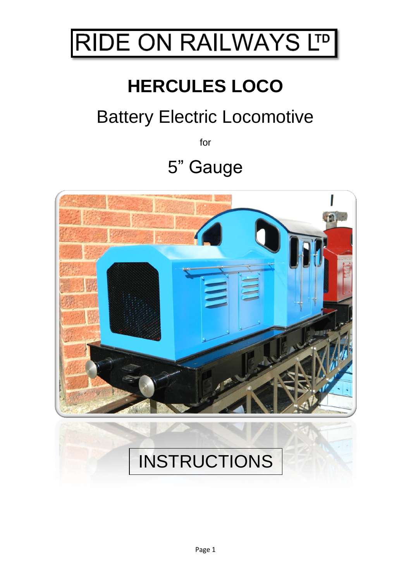

# **HERCULES LOCO**

# Battery Electric Locomotive

for

## 5" Gauge

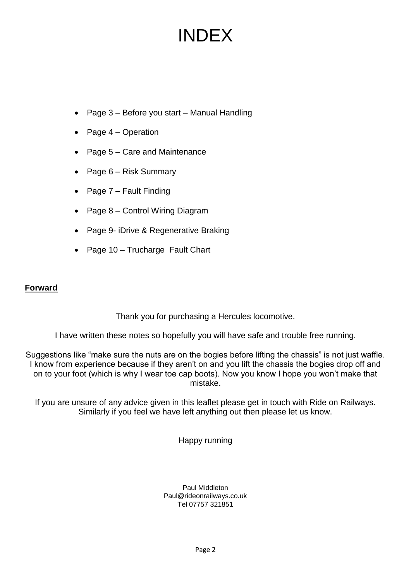## INDEX

- Page 3 Before you start Manual Handling
- Page 4 Operation
- Page 5 Care and Maintenance
- Page 6 Risk Summary
- Page 7 Fault Finding
- Page 8 Control Wiring Diagram
- Page 9- iDrive & Regenerative Braking
- Page 10 Trucharge Fault Chart

#### **Forward**

Thank you for purchasing a Hercules locomotive.

I have written these notes so hopefully you will have safe and trouble free running.

Suggestions like "make sure the nuts are on the bogies before lifting the chassis" is not just waffle. I know from experience because if they aren't on and you lift the chassis the bogies drop off and on to your foot (which is why I wear toe cap boots). Now you know I hope you won't make that mistake.

If you are unsure of any advice given in this leaflet please get in touch with Ride on Railways. Similarly if you feel we have left anything out then please let us know.

Happy running

Paul Middleton Paul@rideonrailways.co.uk Tel 07757 321851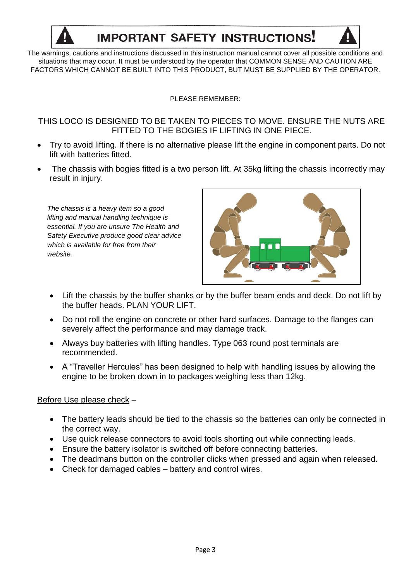

## **IMPORTANT SAFETY INSTRUCTIONS!**

The warnings, cautions and instructions discussed in this instruction manual cannot cover all possible conditions and situations that may occur. It must be understood by the operator that COMMON SENSE AND CAUTION ARE FACTORS WHICH CANNOT BE BUILT INTO THIS PRODUCT, BUT MUST BE SUPPLIED BY THE OPERATOR.

PLEASE REMEMBER:

THIS LOCO IS DESIGNED TO BE TAKEN TO PIECES TO MOVE. ENSURE THE NUTS ARE FITTED TO THE BOGIES IF LIFTING IN ONE PIECE.

- Try to avoid lifting. If there is no alternative please lift the engine in component parts. Do not lift with batteries fitted.
- The chassis with bogies fitted is a two person lift. At 35kg lifting the chassis incorrectly may result in injury.

*The chassis is a heavy item so a good lifting and manual handling technique is essential. If you are unsure The Health and Safety Executive produce good clear advice which is available for free from their website.*



- Lift the chassis by the buffer shanks or by the buffer beam ends and deck. Do not lift by the buffer heads. PLAN YOUR LIFT.
- Do not roll the engine on concrete or other hard surfaces. Damage to the flanges can severely affect the performance and may damage track.
- Always buy batteries with lifting handles. Type 063 round post terminals are recommended.
- A "Traveller Hercules" has been designed to help with handling issues by allowing the engine to be broken down in to packages weighing less than 12kg.

#### Before Use please check –

- The battery leads should be tied to the chassis so the batteries can only be connected in the correct way.
- Use quick release connectors to avoid tools shorting out while connecting leads.
- Ensure the battery isolator is switched off before connecting batteries.
- The deadmans button on the controller clicks when pressed and again when released.
- Check for damaged cables battery and control wires.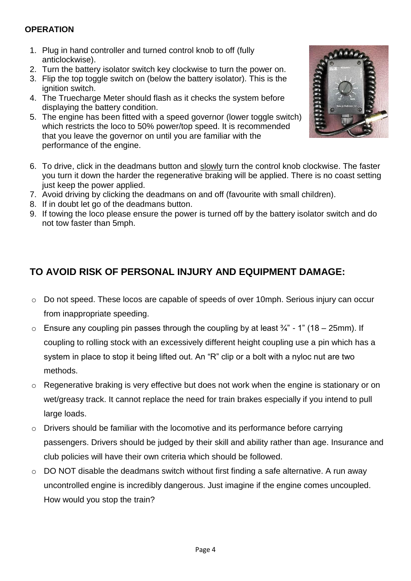#### **OPERATION**

- 1. Plug in hand controller and turned control knob to off (fully anticlockwise).
- 2. Turn the battery isolator switch key clockwise to turn the power on.
- 3. Flip the top toggle switch on (below the battery isolator). This is the ignition switch.
- 4. The Truecharge Meter should flash as it checks the system before displaying the battery condition.
- 5. The engine has been fitted with a speed governor (lower toggle switch) which restricts the loco to 50% power/top speed. It is recommended that you leave the governor on until you are familiar with the performance of the engine.
- 6. To drive, click in the deadmans button and slowly turn the control knob clockwise. The faster you turn it down the harder the regenerative braking will be applied. There is no coast setting just keep the power applied.
- 7. Avoid driving by clicking the deadmans on and off (favourite with small children).
- 8. If in doubt let go of the deadmans button.
- 9. If towing the loco please ensure the power is turned off by the battery isolator switch and do not tow faster than 5mph.

## **TO AVOID RISK OF PERSONAL INJURY AND EQUIPMENT DAMAGE:**

- o Do not speed. These locos are capable of speeds of over 10mph. Serious injury can occur from inappropriate speeding.
- $\circ$  Ensure any coupling pin passes through the coupling by at least  $\frac{3}{4}$ " 1" (18 25mm). If coupling to rolling stock with an excessively different height coupling use a pin which has a system in place to stop it being lifted out. An "R" clip or a bolt with a nyloc nut are two methods.
- o Regenerative braking is very effective but does not work when the engine is stationary or on wet/greasy track. It cannot replace the need for train brakes especially if you intend to pull large loads.
- o Drivers should be familiar with the locomotive and its performance before carrying passengers. Drivers should be judged by their skill and ability rather than age. Insurance and club policies will have their own criteria which should be followed.
- o DO NOT disable the deadmans switch without first finding a safe alternative. A run away uncontrolled engine is incredibly dangerous. Just imagine if the engine comes uncoupled. How would you stop the train?

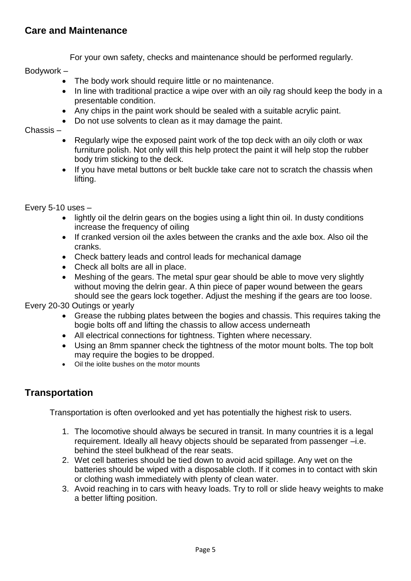### **Care and Maintenance**

For your own safety, checks and maintenance should be performed regularly.

Bodywork –

- The body work should require little or no maintenance.
- In line with traditional practice a wipe over with an oily rag should keep the body in a presentable condition.
- Any chips in the paint work should be sealed with a suitable acrylic paint.
- Do not use solvents to clean as it may damage the paint.

Chassis –

- Regularly wipe the exposed paint work of the top deck with an oily cloth or wax furniture polish. Not only will this help protect the paint it will help stop the rubber body trim sticking to the deck.
- If you have metal buttons or belt buckle take care not to scratch the chassis when lifting.

Every 5-10 uses –

- lightly oil the delrin gears on the bogies using a light thin oil. In dusty conditions increase the frequency of oiling
- If cranked version oil the axles between the cranks and the axle box. Also oil the cranks.
- Check battery leads and control leads for mechanical damage
- Check all bolts are all in place.
- Meshing of the gears. The metal spur gear should be able to move very slightly without moving the delrin gear. A thin piece of paper wound between the gears should see the gears lock together. Adjust the meshing if the gears are too loose.

Every 20-30 Outings or yearly

- Grease the rubbing plates between the bogies and chassis. This requires taking the bogie bolts off and lifting the chassis to allow access underneath
- All electrical connections for tightness. Tighten where necessary.
- Using an 8mm spanner check the tightness of the motor mount bolts. The top bolt may require the bogies to be dropped.
- Oil the iolite bushes on the motor mounts

### **Transportation**

Transportation is often overlooked and yet has potentially the highest risk to users.

- 1. The locomotive should always be secured in transit. In many countries it is a legal requirement. Ideally all heavy objects should be separated from passenger –i.e. behind the steel bulkhead of the rear seats.
- 2. Wet cell batteries should be tied down to avoid acid spillage. Any wet on the batteries should be wiped with a disposable cloth. If it comes in to contact with skin or clothing wash immediately with plenty of clean water.
- 3. Avoid reaching in to cars with heavy loads. Try to roll or slide heavy weights to make a better lifting position.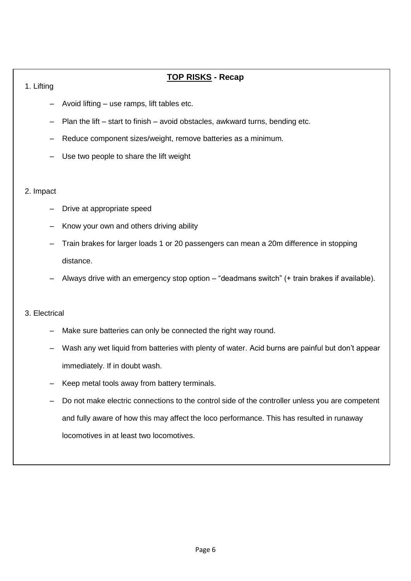#### **TOP RISKS - Recap**

#### 1. Lifting

- Avoid lifting use ramps, lift tables etc.
- Plan the lift start to finish avoid obstacles, awkward turns, bending etc.
- Reduce component sizes/weight, remove batteries as a minimum.
- Use two people to share the lift weight

#### 2. Impact

- Drive at appropriate speed
- Know your own and others driving ability
- Train brakes for larger loads 1 or 20 passengers can mean a 20m difference in stopping distance.
- Always drive with an emergency stop option "deadmans switch" (+ train brakes if available).

#### 3. Electrical

- Make sure batteries can only be connected the right way round.
- Wash any wet liquid from batteries with plenty of water. Acid burns are painful but don't appear immediately. If in doubt wash.
- Keep metal tools away from battery terminals.
- Do not make electric connections to the control side of the controller unless you are competent and fully aware of how this may affect the loco performance. This has resulted in runaway locomotives in at least two locomotives.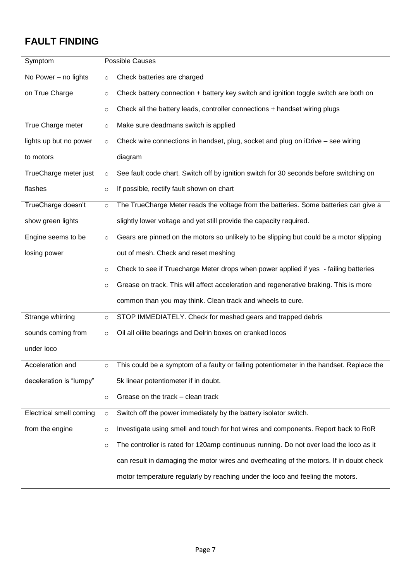## **FAULT FINDING**

| Symptom                 | <b>Possible Causes</b>                                                                             |
|-------------------------|----------------------------------------------------------------------------------------------------|
| No Power - no lights    | Check batteries are charged<br>$\circ$                                                             |
| on True Charge          | Check battery connection + battery key switch and ignition toggle switch are both on<br>$\circ$    |
|                         | Check all the battery leads, controller connections + handset wiring plugs<br>$\circ$              |
| True Charge meter       | Make sure deadmans switch is applied<br>$\circ$                                                    |
| lights up but no power  | Check wire connections in handset, plug, socket and plug on iDrive - see wiring<br>$\circ$         |
| to motors               | diagram                                                                                            |
| TrueCharge meter just   | See fault code chart. Switch off by ignition switch for 30 seconds before switching on<br>$\circ$  |
| flashes                 | If possible, rectify fault shown on chart<br>$\circ$                                               |
| TrueCharge doesn't      | The TrueCharge Meter reads the voltage from the batteries. Some batteries can give a<br>$\circ$    |
| show green lights       | slightly lower voltage and yet still provide the capacity required.                                |
| Engine seems to be      | Gears are pinned on the motors so unlikely to be slipping but could be a motor slipping<br>$\circ$ |
| losing power            | out of mesh. Check and reset meshing                                                               |
|                         | Check to see if Truecharge Meter drops when power applied if yes - failing batteries<br>$\circ$    |
|                         | Grease on track. This will affect acceleration and regenerative braking. This is more<br>$\circ$   |
|                         | common than you may think. Clean track and wheels to cure.                                         |
| Strange whirring        | STOP IMMEDIATELY. Check for meshed gears and trapped debris<br>$\circ$                             |
| sounds coming from      | Oil all oilite bearings and Delrin boxes on cranked locos<br>$\circ$                               |
| under loco              |                                                                                                    |
| Acceleration and        | This could be a symptom of a faulty or failing potentiometer in the handset. Replace the<br>O      |
| deceleration is "lumpy" | 5k linear potentiometer if in doubt.                                                               |
|                         | Grease on the track - clean track<br>$\circ$                                                       |
| Electrical smell coming | Switch off the power immediately by the battery isolator switch.<br>$\circ$                        |
| from the engine         | Investigate using smell and touch for hot wires and components. Report back to RoR<br>$\circ$      |
|                         | The controller is rated for 120amp continuous running. Do not over load the loco as it<br>$\circ$  |
|                         | can result in damaging the motor wires and overheating of the motors. If in doubt check            |
|                         | motor temperature regularly by reaching under the loco and feeling the motors.                     |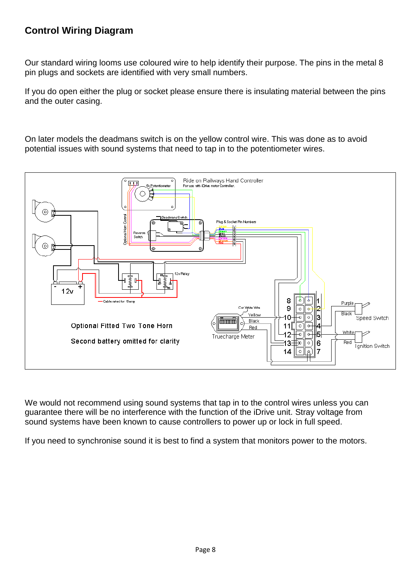## **Control Wiring Diagram**

Our standard wiring looms use coloured wire to help identify their purpose. The pins in the metal 8 pin plugs and sockets are identified with very small numbers.

If you do open either the plug or socket please ensure there is insulating material between the pins and the outer casing.

On later models the deadmans switch is on the yellow control wire. This was done as to avoid potential issues with sound systems that need to tap in to the potentiometer wires.



We would not recommend using sound systems that tap in to the control wires unless you can guarantee there will be no interference with the function of the iDrive unit. Stray voltage from sound systems have been known to cause controllers to power up or lock in full speed.

If you need to synchronise sound it is best to find a system that monitors power to the motors.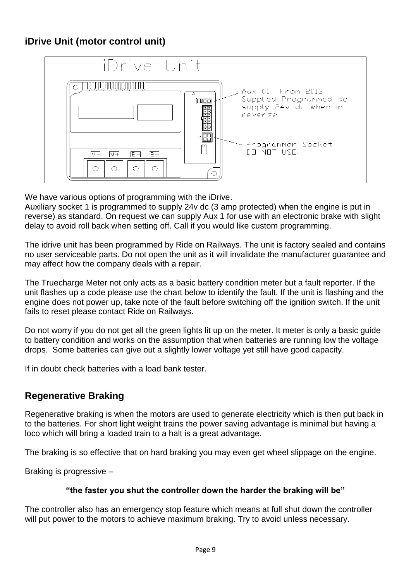### **iDrive Unit (motor control unit)**



We have various options of programming with the iDrive.

Auxiliary socket 1 is programmed to supply 24v dc (3 amp protected) when the engine is put in reverse) as standard. On request we can supply Aux 1 for use with an electronic brake with slight delay to avoid roll back when setting off. Call if you would like custom programming.

The idrive unit has been programmed by Ride on Railways. The unit is factory sealed and contains no user serviceable parts. Do not open the unit as it will invalidate the manufacturer guarantee and may affect how the company deals with a repair.

The Truecharge Meter not only acts as a basic battery condition meter but a fault reporter. If the unit flashes up a code please use the chart below to identify the fault. If the unit is flashing and the engine does not power up, take note of the fault before switching off the ignition switch. If the unit fails to reset please contact Ride on Railways.

Do not worry if you do not get all the green lights lit up on the meter. It meter is only a basic guide to battery condition and works on the assumption that when batteries are running low the voltage drops. Some batteries can give out a slightly lower voltage yet still have good capacity.

If in doubt check batteries with a load bank tester.

### **Regenerative Braking**

Regenerative braking is when the motors are used to generate electricity which is then put back in to the batteries. For short light weight trains the power saving advantage is minimal but having a loco which will bring a loaded train to a halt is a great advantage.

The braking is so effective that on hard braking you may even get wheel slippage on the engine.

Braking is progressive –

#### **"the faster you shut the controller down the harder the braking will be"**

The controller also has an emergency stop feature which means at full shut down the controller will put power to the motors to achieve maximum braking. Try to avoid unless necessary.